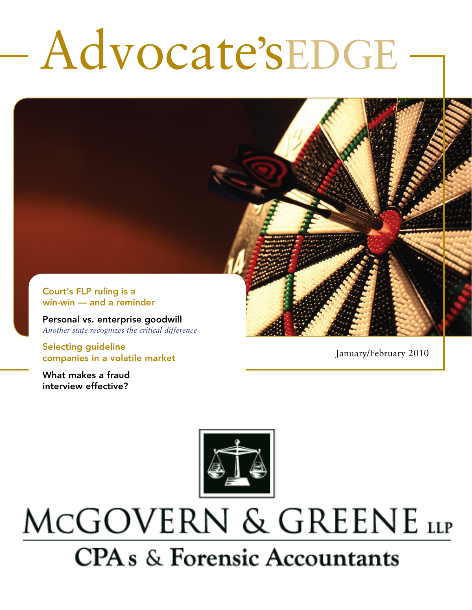# Advocate'sEDGE

Court's FLP ruling is a win-win — and a reminder

Personal vs. enterprise goodwill *Another state recognizes the critical difference*

Selecting guideline companies in a volatile market

What makes a fraud interview effective?

January/February 2010



## MCGOVERN & GREENE LLP **CPA**s & Forensic Accountants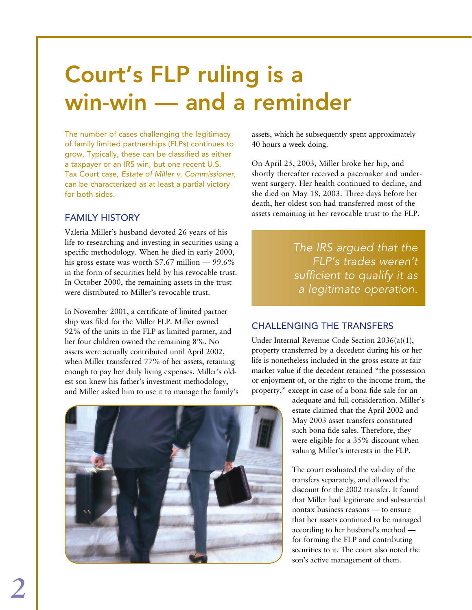### Court's FLP ruling is a win-win — and a reminder

The number of cases challenging the legitimacy of family limited partnerships (FLPs) continues to grow. Typically, these can be classified as either a taxpayer or an IRS win, but one recent U.S. Tax Court case, *Estate of Miller v. Commissioner*, can be characterized as at least a partial victory for both sides.

### Family history

Valeria Miller's husband devoted 26 years of his life to researching and investing in securities using a specific methodology. When he died in early 2000, his gross estate was worth \$7.67 million — 99.6% in the form of securities held by his revocable trust. In October 2000, the remaining assets in the trust were distributed to Miller's revocable trust.

In November 2001, a certificate of limited partnership was filed for the Miller FLP. Miller owned 92% of the units in the FLP as limited partner, and her four children owned the remaining 8%. No assets were actually contributed until April 2002, when Miller transferred 77% of her assets, retaining enough to pay her daily living expenses. Miller's oldest son knew his father's investment methodology, and Miller asked him to use it to manage the family's



assets, which he subsequently spent approximately 40 hours a week doing.

On April 25, 2003, Miller broke her hip, and shortly thereafter received a pacemaker and underwent surgery. Her health continued to decline, and she died on May 18, 2003. Three days before her death, her oldest son had transferred most of the assets remaining in her revocable trust to the FLP.

> *The IRS argued that the FLP's trades weren't sufficient to qualify it as a legitimate operation.*

### Challenging the transfers

Under Internal Revenue Code Section 2036(a)(1), property transferred by a decedent during his or her life is nonetheless included in the gross estate at fair market value if the decedent retained "the possession or enjoyment of, or the right to the income from, the property," except in case of a bona fide sale for an

> adequate and full consideration. Miller's estate claimed that the April 2002 and May 2003 asset transfers constituted such bona fide sales. Therefore, they were eligible for a 35% discount when valuing Miller's interests in the FLP.

> The court evaluated the validity of the transfers separately, and allowed the discount for the 2002 transfer. It found that Miller had legitimate and substantial nontax business reasons — to ensure that her assets continued to be managed according to her husband's method for forming the FLP and contributing securities to it. The court also noted the son's active management of them.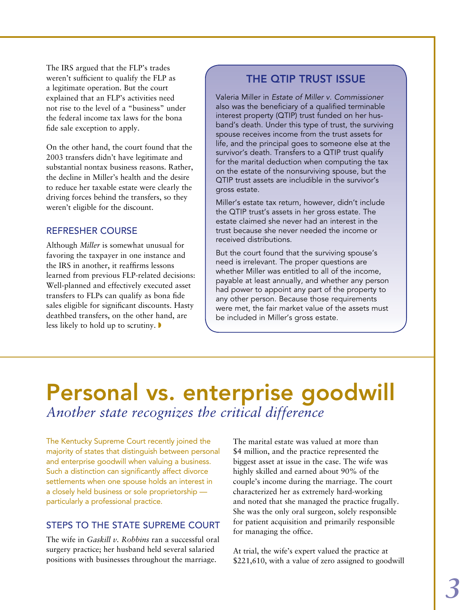The IRS argued that the FLP's trades weren't sufficient to qualify the FLP as a legitimate operation. But the court explained that an FLP's activities need not rise to the level of a "business" under the federal income tax laws for the bona fide sale exception to apply.

On the other hand, the court found that the 2003 transfers didn't have legitimate and substantial nontax business reasons. Rather, the decline in Miller's health and the desire to reduce her taxable estate were clearly the driving forces behind the transfers, so they weren't eligible for the discount.

### Refresher course

Although *Miller* is somewhat unusual for favoring the taxpayer in one instance and the IRS in another, it reaffirms lessons learned from previous FLP-related decisions: Well-planned and effectively executed asset transfers to FLPs can qualify as bona fide sales eligible for significant discounts. Hasty deathbed transfers, on the other hand, are less likely to hold up to scrutiny.

### THE OTIP TRUST ISSUE

Valeria Miller in *Estate of Miller v. Commissioner* also was the beneficiary of a qualified terminable interest property (QTIP) trust funded on her husband's death. Under this type of trust, the surviving spouse receives income from the trust assets for life, and the principal goes to someone else at the survivor's death. Transfers to a QTIP trust qualify for the marital deduction when computing the tax on the estate of the nonsurviving spouse, but the QTIP trust assets are includible in the survivor's gross estate.

Miller's estate tax return, however, didn't include the QTIP trust's assets in her gross estate. The estate claimed she never had an interest in the trust because she never needed the income or received distributions.

But the court found that the surviving spouse's need is irrelevant. The proper questions are whether Miller was entitled to all of the income, payable at least annually, and whether any person had power to appoint any part of the property to any other person. Because those requirements were met, the fair market value of the assets must be included in Miller's gross estate.

### Personal vs. enterprise goodwill *Another state recognizes the critical difference*

The Kentucky Supreme Court recently joined the majority of states that distinguish between personal and enterprise goodwill when valuing a business. Such a distinction can significantly affect divorce settlements when one spouse holds an interest in a closely held business or sole proprietorship particularly a professional practice.

### STEPS TO THE STATE SUPREME COURT

The wife in *Gaskill v. Robbins* ran a successful oral surgery practice; her husband held several salaried positions with businesses throughout the marriage.

The marital estate was valued at more than \$4 million, and the practice represented the biggest asset at issue in the case. The wife was highly skilled and earned about 90% of the couple's income during the marriage. The court characterized her as extremely hard-working and noted that she managed the practice frugally. She was the only oral surgeon, solely responsible for patient acquisition and primarily responsible for managing the office.

At trial, the wife's expert valued the practice at \$221,610, with a value of zero assigned to goodwill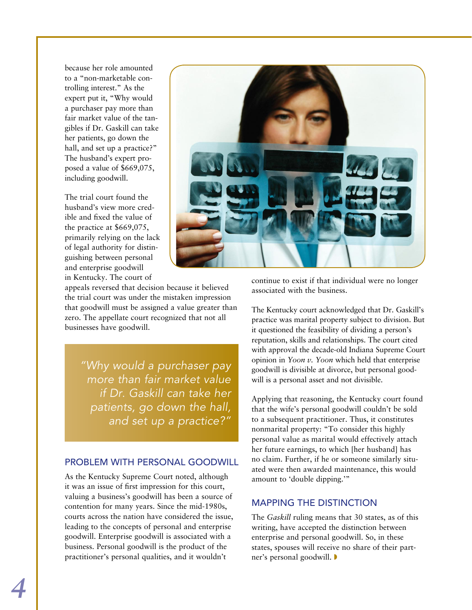because her role amounted to a "non-marketable controlling interest." As the expert put it, "Why would a purchaser pay more than fair market value of the tangibles if Dr. Gaskill can take her patients, go down the hall, and set up a practice?" The husband's expert proposed a value of \$669,075, including goodwill.

The trial court found the husband's view more credible and fixed the value of the practice at \$669,075, primarily relying on the lack of legal authority for distinguishing between personal and enterprise goodwill in Kentucky. The court of

appeals reversed that decision because it believed the trial court was under the mistaken impression that goodwill must be assigned a value greater than zero. The appellate court recognized that not all businesses have goodwill.

*"Why would a purchaser pay more than fair market value if Dr. Gaskill can take her patients, go down the hall, and set up a practice?"*

### PROBLEM WITH PERSONAL GOODWILL

As the Kentucky Supreme Court noted, although it was an issue of first impression for this court, valuing a business's goodwill has been a source of contention for many years. Since the mid-1980s, courts across the nation have considered the issue, leading to the concepts of personal and enterprise goodwill. Enterprise goodwill is associated with a business. Personal goodwill is the product of the practitioner's personal qualities, and it wouldn't



continue to exist if that individual were no longer associated with the business.

The Kentucky court acknowledged that Dr. Gaskill's practice was marital property subject to division. But it questioned the feasibility of dividing a person's reputation, skills and relationships. The court cited with approval the decade-old Indiana Supreme Court opinion in *Yoon v. Yoon* which held that enterprise goodwill is divisible at divorce, but personal goodwill is a personal asset and not divisible.

Applying that reasoning, the Kentucky court found that the wife's personal goodwill couldn't be sold to a subsequent practitioner. Thus, it constitutes nonmarital property: "To consider this highly personal value as marital would effectively attach her future earnings, to which [her husband] has no claim. Further, if he or someone similarly situated were then awarded maintenance, this would amount to 'double dipping.'"

### Mapping the distinction

The *Gaskill* ruling means that 30 states, as of this writing, have accepted the distinction between enterprise and personal goodwill. So, in these states, spouses will receive no share of their partner's personal goodwill.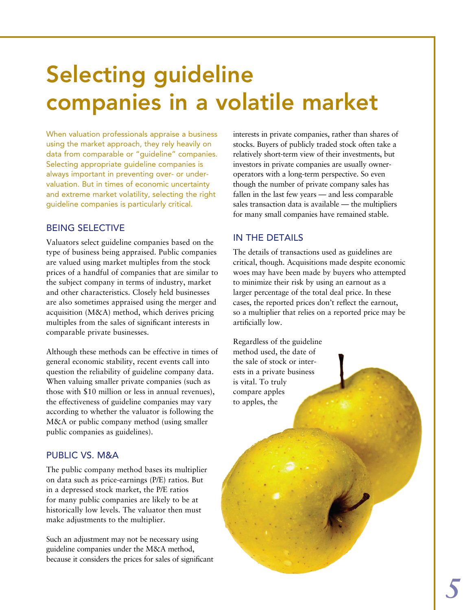### Selecting guideline companies in a volatile market

When valuation professionals appraise a business using the market approach, they rely heavily on data from comparable or "guideline" companies. Selecting appropriate guideline companies is always important in preventing over- or undervaluation. But in times of economic uncertainty and extreme market volatility, selecting the right guideline companies is particularly critical.

### Being selective

Valuators select guideline companies based on the type of business being appraised. Public companies are valued using market multiples from the stock prices of a handful of companies that are similar to the subject company in terms of industry, market and other characteristics. Closely held businesses are also sometimes appraised using the merger and acquisition (M&A) method, which derives pricing multiples from the sales of significant interests in comparable private businesses.

Although these methods can be effective in times of general economic stability, recent events call into question the reliability of guideline company data. When valuing smaller private companies (such as those with \$10 million or less in annual revenues), the effectiveness of guideline companies may vary according to whether the valuator is following the M&A or public company method (using smaller public companies as guidelines).

### Public vs. M&A

The public company method bases its multiplier on data such as price-earnings (P/E) ratios. But in a depressed stock market, the P/E ratios for many public companies are likely to be at historically low levels. The valuator then must make adjustments to the multiplier.

Such an adjustment may not be necessary using guideline companies under the M&A method, because it considers the prices for sales of significant interests in private companies, rather than shares of stocks. Buyers of publicly traded stock often take a relatively short-term view of their investments, but investors in private companies are usually owneroperators with a long-term perspective. So even though the number of private company sales has fallen in the last few years — and less comparable sales transaction data is available — the multipliers for many small companies have remained stable.

### IN THE DETAILS

The details of transactions used as guidelines are critical, though. Acquisitions made despite economic woes may have been made by buyers who attempted to minimize their risk by using an earnout as a larger percentage of the total deal price. In these cases, the reported prices don't reflect the earnout, so a multiplier that relies on a reported price may be artificially low.

Regardless of the guideline method used, the date of the sale of stock or interests in a private business is vital. To truly compare apples to apples, the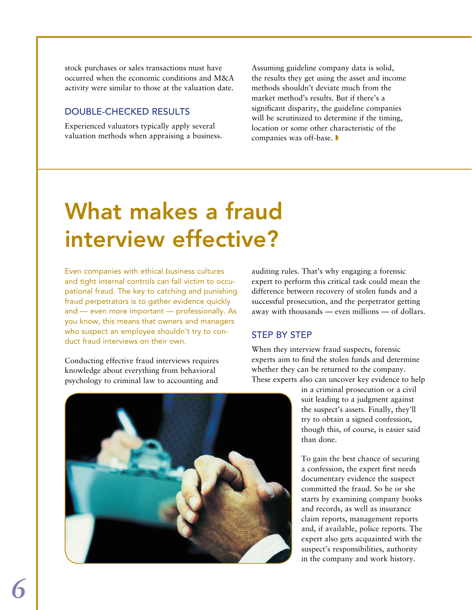stock purchases or sales transactions must have occurred when the economic conditions and M&A activity were similar to those at the valuation date.

### Double-checked results

Experienced valuators typically apply several valuation methods when appraising a business. Assuming guideline company data is solid, the results they get using the asset and income methods shouldn't deviate much from the market method's results. But if there's a significant disparity, the guideline companies will be scrutinized to determine if the timing, location or some other characteristic of the companies was off-base.

### What makes a fraud interview effective?

Even companies with ethical business cultures and tight internal controls can fall victim to occupational fraud. The key to catching and punishing fraud perpetrators is to gather evidence quickly and — even more important — professionally. As you know, this means that owners and managers who suspect an employee shouldn't try to conduct fraud interviews on their own.

Conducting effective fraud interviews requires knowledge about everything from behavioral psychology to criminal law to accounting and

auditing rules. That's why engaging a forensic expert to perform this critical task could mean the difference between recovery of stolen funds and a successful prosecution, and the perpetrator getting away with thousands — even millions — of dollars.

### Step by step

When they interview fraud suspects, forensic experts aim to find the stolen funds and determine whether they can be returned to the company. These experts also can uncover key evidence to help



in a criminal prosecution or a civil suit leading to a judgment against the suspect's assets. Finally, they'll try to obtain a signed confession, though this, of course, is easier said than done.

To gain the best chance of securing a confession, the expert first needs documentary evidence the suspect committed the fraud. So he or she starts by examining company books and records, as well as insurance claim reports, management reports and, if available, police reports. The expert also gets acquainted with the suspect's responsibilities, authority in the company and work history.